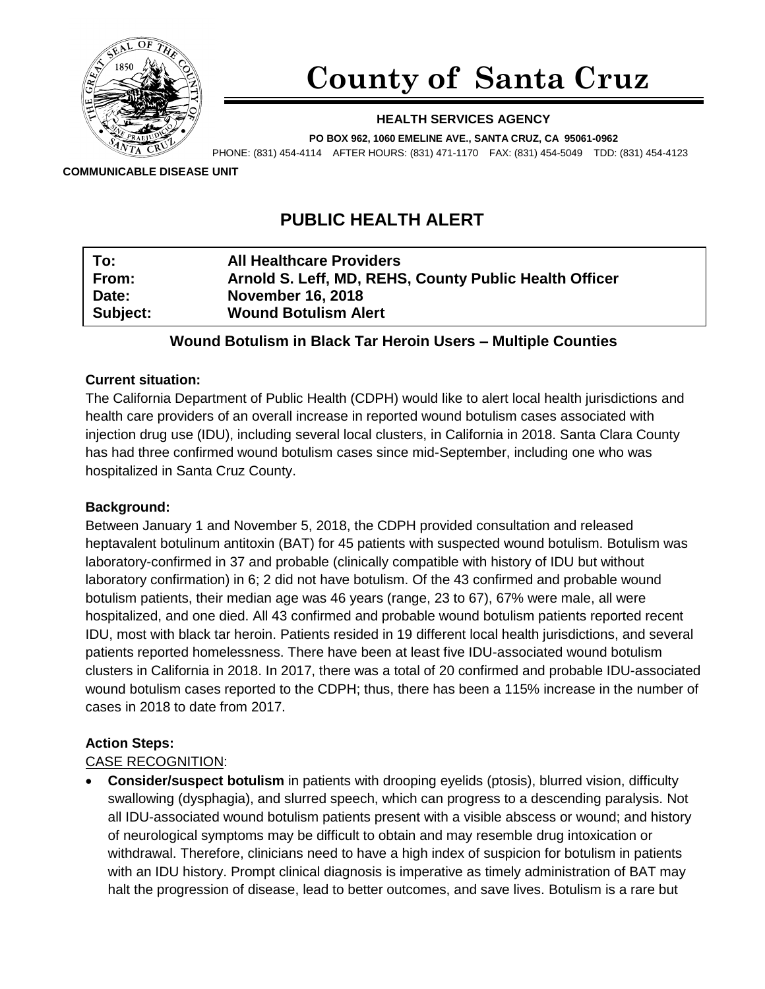

# **County of Santa Cruz**

#### **HEALTH SERVICES AGENCY**

**PO BOX 962, 1060 EMELINE AVE., SANTA CRUZ, CA 95061-0962** PHONE: (831) 454-4114 AFTER HOURS: (831) 471-1170 FAX: (831) 454-5049 TDD: (831) 454-4123

**COMMUNICABLE DISEASE UNIT**

# **PUBLIC HEALTH ALERT**

| From:<br>Date:<br><b>November 16, 2018</b> | <b>All Healthcare Providers</b> | Arnold S. Leff, MD, REHS, County Public Health Officer |  |
|--------------------------------------------|---------------------------------|--------------------------------------------------------|--|
| Subject:<br><b>Wound Botulism Alert</b>    |                                 |                                                        |  |

# **Wound Botulism in Black Tar Heroin Users – Multiple Counties**

#### **Current situation:**

The California Department of Public Health (CDPH) would like to alert local health jurisdictions and health care providers of an overall increase in reported wound botulism cases associated with injection drug use (IDU), including several local clusters, in California in 2018. Santa Clara County has had three confirmed wound botulism cases since mid-September, including one who was hospitalized in Santa Cruz County.

#### **Background:**

Between January 1 and November 5, 2018, the CDPH provided consultation and released heptavalent botulinum antitoxin (BAT) for 45 patients with suspected wound botulism. Botulism was laboratory-confirmed in 37 and probable (clinically compatible with history of IDU but without laboratory confirmation) in 6; 2 did not have botulism. Of the 43 confirmed and probable wound botulism patients, their median age was 46 years (range, 23 to 67), 67% were male, all were hospitalized, and one died. All 43 confirmed and probable wound botulism patients reported recent IDU, most with black tar heroin. Patients resided in 19 different local health jurisdictions, and several patients reported homelessness. There have been at least five IDU-associated wound botulism clusters in California in 2018. In 2017, there was a total of 20 confirmed and probable IDU-associated wound botulism cases reported to the CDPH; thus, there has been a 115% increase in the number of cases in 2018 to date from 2017.

# **Action Steps:**

# CASE RECOGNITION:

• **Consider/suspect botulism** in patients with drooping eyelids (ptosis), blurred vision, difficulty swallowing (dysphagia), and slurred speech, which can progress to a descending paralysis. Not all IDU-associated wound botulism patients present with a visible abscess or wound; and history of neurological symptoms may be difficult to obtain and may resemble drug intoxication or withdrawal. Therefore, clinicians need to have a high index of suspicion for botulism in patients with an IDU history. Prompt clinical diagnosis is imperative as timely administration of BAT may halt the progression of disease, lead to better outcomes, and save lives. Botulism is a rare but